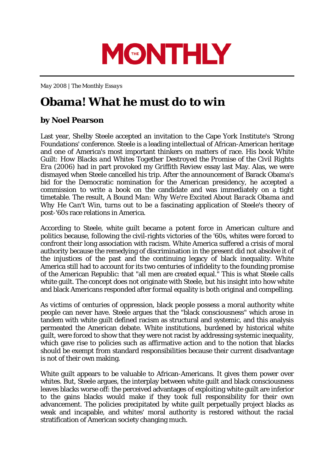

*May 2008 | The Monthly Essays*

## **Obama! What he must do to win**

## **by Noel Pearson**

Last year, Shelby Steele accepted an invitation to the Cape York Institute's 'Strong Foundations' conference. Steele is a leading intellectual of African-American heritage and one of America's most important thinkers on matters of race. His book *White Guilt: How Blacks and Whites Together Destroyed the Promise of the Civil Rights Era* (2006) had in part provoked my *Griffith Review* essay last May. Alas, we were dismayed when Steele cancelled his trip. After the announcement of Barack Obama's bid for the Democratic nomination for the American presidency, he accepted a commission to write a book on the candidate and was immediately on a tight timetable. The result, *A Bound Man: Why We're Excited About Barack Obama and Why He Can't Win*, turns out to be a fascinating application of Steele's theory of post-'60s race relations in America.

According to Steele, white guilt became a potent force in American culture and politics because, following the civil-rights victories of the '60s, whites were forced to confront their long association with racism. White America suffered a crisis of moral authority because the remedying of discrimination in the present did not absolve it of the injustices of the past and the continuing legacy of black inequality. White America still had to account for its two centuries of infidelity to the founding promise of the American Republic: that "all men are created equal." This is what Steele calls white guilt. The concept does not originate with Steele, but his insight into how white and black Americans responded after formal equality is both original and compelling.

As victims of centuries of oppression, black people possess a moral authority white people can never have. Steele argues that the "black consciousness" which arose in tandem with white guilt defined racism as structural and systemic, and this analysis permeated the American debate. White institutions, burdened by historical white guilt, were forced to show that they were not racist by addressing systemic inequality, which gave rise to policies such as affirmative action and to the notion that blacks should be exempt from standard responsibilities because their current disadvantage is not of their own making.

White guilt appears to be valuable to African-Americans. It gives them power over whites. But, Steele argues, the interplay between white guilt and black consciousness leaves blacks worse off: the perceived advantages of exploiting white guilt are inferior to the gains blacks would make if they took full responsibility for their own advancement. The policies precipitated by white guilt perpetually project blacks as weak and incapable, and whites' moral authority is restored without the racial stratification of American society changing much.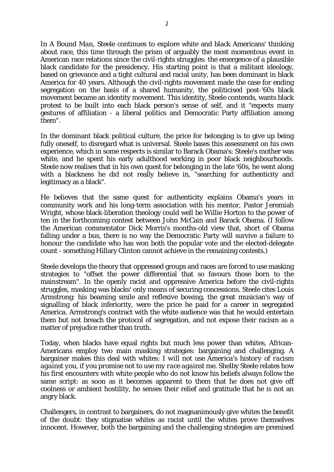In *A Bound Man*, Steele continues to explore white and black Americans' thinking about race, this time through the prism of arguably the most momentous event in American race relations since the civil-rights struggles: the emergence of a plausible black candidate for the presidency. His starting point is that a militant ideology, based on grievance and a tight cultural and racial unity, has been dominant in black America for 40 years. Although the civil-rights movement made the case for ending segregation on the basis of a shared humanity, the politicised post-'60s black movement became an identity movement. This identity, Steele contends, wants black protest to be built into each black person's sense of self, and it "expects many gestures of affiliation - a liberal politics and Democratic Party affiliation among them".

In the dominant black political culture, the price for belonging is to give up being fully oneself, to disregard what is universal. Steele bases this assessment on his own experience, which in some respects is similar to Barack Obama's: Steele's mother was white, and he spent his early adulthood working in poor black neighbourhoods. Steele now realises that in his own quest for belonging in the late '60s, he went along with a blackness he did not really believe in, "searching for authenticity and legitimacy as a black".

He believes that the same quest for authenticity explains Obama's years in community work and his long-term association with his mentor, Pastor Jeremiah Wright, whose black-liberation theology could well be Willie Horton to the power of ten in the forthcoming contest between John McCain and Barack Obama. (I follow the American commentator Dick Morris's months-old view that, short of Obama falling under a bus, there is no way the Democratic Party will survive a failure to honour the candidate who has won both the popular vote and the elected-delegate count - something Hillary Clinton cannot achieve in the remaining contests.)

Steele develops the theory that oppressed groups and races are forced to use masking strategies to "offset the power differential that so favours those born to the mainstream". In the openly racist and oppressive America before the civil-rights struggles, masking was blacks' only means of securing concessions. Steele cites Louis Armstrong: his beaming smile and reflexive bowing, the great musician's way of signalling of black inferiority, were the price he paid for a career in segregated America. Armstrong's contract with the white audience was that he would entertain them but not breach the protocol of segregation, and not expose their racism as a matter of prejudice rather than truth.

Today, when blacks have equal rights but much less power than whites, African-Americans employ two main masking strategies: bargaining and challenging. A bargainer makes this deal with whites: *I will not use America's history of racism against you, if you promise not to use my race against me.* Shelby Steele relates how his first encounters with white people who do not know his beliefs always follow the same script: as soon as it becomes apparent to them that he does not give off coolness or ambient hostility, he senses their relief and gratitude that he is not an angry black.

Challengers, in contrast to bargainers, do not magnanimously give whites the benefit of the doubt: they stigmatise whites as racist until the whites prove themselves innocent. However, both the bargaining and the challenging strategies are premised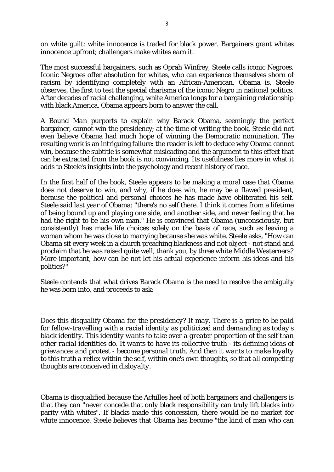on white guilt: white innocence is traded for black power. Bargainers grant whites innocence upfront; challengers make whites earn it.

The most successful bargainers, such as Oprah Winfrey, Steele calls iconic Negroes. Iconic Negroes offer absolution for whites, who can experience themselves shorn of racism by identifying completely with an African-American. Obama is, Steele observes, the first to test the special charisma of the iconic Negro in national politics. After decades of racial challenging, white America longs for a bargaining relationship with black America. Obama appears born to answer the call.

*A Bound Man* purports to explain why Barack Obama, seemingly the perfect bargainer, cannot win the presidency; at the time of writing the book, Steele did not even believe Obama had much hope of winning the Democratic nomination. The resulting work is an intriguing failure: the reader is left to deduce why Obama cannot win, because the subtitle is somewhat misleading and the argument to this effect that can be extracted from the book is not convincing. Its usefulness lies more in what it adds to Steele's insights into the psychology and recent history of race.

In the first half of the book, Steele appears to be making a moral case that Obama does not *deserve* to win, and why, if he does win, he may be a flawed president, because the political and personal choices he has made have obliterated his self. Steele said last year of Obama: "there's no self there. I think it comes from a lifetime of being bound up and playing one side, and another side, and never feeling that he had the right to be his own man." He is convinced that Obama (unconsciously, but consistently) has made life choices solely on the basis of race, such as leaving a woman whom he was close to marrying because she was white. Steele asks, "How can Obama sit every week in a church preaching blackness and not object - not stand and proclaim that he was raised quite well, thank you, by three white Middle Westerners? More important, how can he not let his actual experience inform his ideas and his politics?"

Steele contends that what drives Barack Obama is the need to resolve the ambiguity he was born into, and proceeds to ask:

*Does this disqualify Obama for the presidency? It may. There is a price to be paid for fellow-travelling with a racial identity as politicized and demanding as today's black identity. This identity wants to take over a greater proportion of the self than other racial identities do. It wants to have its collective truth - its defining ideas of grievances and protest - become personal truth. And then it wants to make loyalty to this truth a reflex within the self, within one's own thoughts, so that all competing thoughts are conceived in disloyalty.*

Obama is disqualified because the Achilles heel of both bargainers and challengers is that they can "never concede that only black responsibility can truly lift blacks into parity with whites". If blacks made this concession, there would be no market for white innocence. Steele believes that Obama has become "the kind of man who can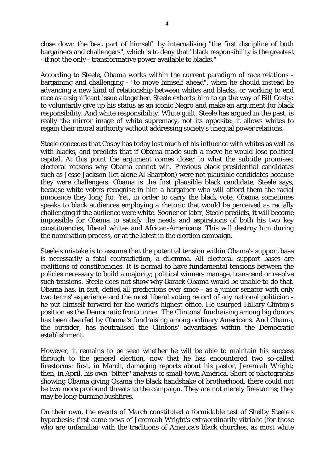close down the best part of himself" by internalising "the first discipline of both bargainers and challengers", which is to deny that "black responsibility is the greatest - if not the only - transformative power available to blacks."

According to Steele, Obama works within the current paradigm of race relations bargaining and challenging - "to move himself ahead", when he should instead be advancing a new kind of relationship between whites and blacks, or working to end race as a significant issue altogether. Steele exhorts him to go the way of Bill Cosby: to voluntarily give up his status as an iconic Negro and make an argument for black responsibility. And white responsibility. White guilt, Steele has argued in the past, is really the mirror image of white supremacy, not its opposite: it allows whites to regain their moral authority without addressing society's unequal power relations.

Steele concedes that Cosby has today lost much of his influence with whites as well as with blacks, and predicts that if Obama made such a move he would lose political capital. At this point the argument comes closer to what the subtitle promises: electoral reasons why Obama cannot win. Previous black presidential candidates such as Jesse Jackson (let alone Al Sharpton) were not plausible candidates because they were challengers. Obama is the first plausible black candidate, Steele says, because white voters recognise in him a bargainer who will afford them the racial innocence they long for. Yet, in order to carry the black vote, Obama sometimes speaks to black audiences employing a rhetoric that would be perceived as racially challenging if the audience were white. Sooner or later, Steele predicts, it will become impossible for Obama to satisfy the needs and aspirations of both his two key constituencies, liberal whites and African-Americans. This will destroy him during the nomination process, or at the latest in the election campaign.

Steele's mistake is to assume that the potential tension within Obama's support base is necessarily a fatal contradiction, a dilemma. All electoral support bases are coalitions of constituencies. It is normal to have fundamental tensions between the policies necessary to build a majority; political winners manage, transcend or resolve such tensions. Steele does not show why Barack Obama would be unable to do that. Obama has, in fact, defied all predictions ever since - as a junior senator with only two terms' experience and the most liberal voting record of any national politician he put himself forward for the world's highest office. He usurped Hillary Clinton's position as the Democratic frontrunner. The Clintons' fundraising among big donors has been dwarfed by Obama's fundraising among ordinary Americans. And Obama, the outsider, has neutralised the Clintons' advantages within the Democratic establishment.

However, it remains to be seen whether he will be able to maintain his success through to the general election, now that he has encountered two so-called firestorms: first, in March, damaging reports about his pastor, Jeremiah Wright; then, in April, his own "bitter" analysis of small-town America. Short of photographs showing Obama giving Osama the black handshake of brotherhood, there could not be two more profound threats to the campaign. They are not merely firestorms; they may be long-burning bushfires.

On their own, the events of March constituted a formidable test of Shelby Steele's hypothesis: first came news of Jeremiah Wright's extraordinarily vitriolic (for those who are unfamiliar with the traditions of America's black churches, as most white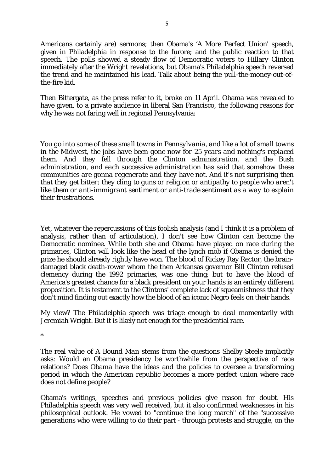Americans certainly are) sermons; then Obama's 'A More Perfect Union' speech, given in Philadelphia in response to the furore; and the public reaction to that speech. The polls showed a steady flow of Democratic voters to Hillary Clinton immediately after the Wright revelations, but Obama's Philadelphia speech reversed the trend and he maintained his lead. Talk about being the pull-the-money-out-ofthe-fire kid.

Then Bittergate, as the press refer to it, broke on 11 April. Obama was revealed to have given, to a private audience in liberal San Francisco, the following reasons for why he was not faring well in regional Pennsylvania:

*You go into some of these small towns in Pennsylvania, and like a lot of small towns in the Midwest, the jobs have been gone now for 25 years and nothing's replaced them. And they fell through the Clinton administration, and the Bush administration, and each successive administration has said that somehow these communities are gonna regenerate and they have not. And it's not surprising then that they get bitter; they cling to guns or religion or antipathy to people who aren't like them or anti-immigrant sentiment or anti-trade sentiment as a way to explain their frustrations.*

Yet, whatever the repercussions of this foolish analysis (and I think it is a problem of analysis, rather than of articulation), I don't see how Clinton can become the Democratic nominee. While both she and Obama have played on race during the primaries, Clinton will look like the head of the lynch mob if Obama is denied the prize he should already rightly have won. The blood of Rickey Ray Rector, the braindamaged black death-rower whom the then Arkansas governor Bill Clinton refused clemency during the 1992 primaries, was one thing; but to have the blood of America's greatest chance for a black president on your hands is an entirely different proposition. It is testament to the Clintons' complete lack of squeamishness that they don't mind finding out exactly how the blood of an iconic Negro feels on their hands.

My view? The Philadelphia speech was triage enough to deal momentarily with Jeremiah Wright. But it is likely not enough for the presidential race.

\*

The real value of *A Bound Man* stems from the questions Shelby Steele implicitly asks: Would an Obama presidency be worthwhile from the perspective of race relations? Does Obama have the ideas and the policies to oversee a transforming period in which the American republic becomes a more perfect union where race does not define people?

Obama's writings, speeches and previous policies give reason for doubt. His Philadelphia speech was very well received, but it also confirmed weaknesses in his philosophical outlook. He vowed to "continue the long march" of the "successive generations who were willing to do their part - through protests and struggle, on the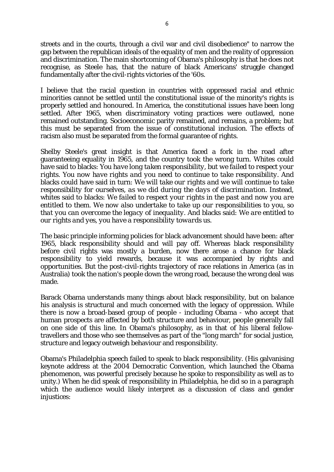streets and in the courts, through a civil war and civil disobedience" to narrow the gap between the republican ideals of the equality of men and the reality of oppression and discrimination. The main shortcoming of Obama's philosophy is that he does not recognise, as Steele has, that the nature of black Americans' struggle changed fundamentally after the civil-rights victories of the '60s.

I believe that the racial question in countries with oppressed racial and ethnic minorities cannot be settled until the constitutional issue of the minority's rights is properly settled and honoured. In America, the constitutional issues have been long settled. After 1965, when discriminatory voting practices were outlawed, none remained outstanding. Socioeconomic parity remained, and remains, a problem; but this must be separated from the issue of constitutional inclusion. The effects of racism also must be separated from the formal guarantee of rights.

Shelby Steele's great insight is that America faced a fork in the road after guaranteeing equality in 1965, and the country took the wrong turn. Whites could have said to blacks: *You have long taken responsibility, but we failed to respect your rights. You now have rights and you need to continue to take responsibility.* And blacks could have said in turn: *We will take our rights and we will continue to take responsibility for ourselves, as we did during the days of discrimination.* Instead, whites said to blacks: *We failed to respect your rights in the past and now you are entitled to them. We now also undertake to take up our responsibilities to you, so that you can overcome the legacy of inequality.* And blacks said: *We are entitled to our rights and yes, you have a responsibility towards us.*

The basic principle informing policies for black advancement should have been: after 1965, black responsibility should and will pay off. Whereas black responsibility before civil rights was mostly a burden, now there arose a chance for black responsibility to yield rewards, because it was accompanied by rights and opportunities. But the post-civil-rights trajectory of race relations in America (as in Australia) took the nation's people down the wrong road, because the wrong deal was made.

Barack Obama understands many things about black responsibility, but on balance his analysis is structural and much concerned with the legacy of oppression. While there is now a broad-based group of people - including Obama - who accept that human prospects are affected by both structure and behaviour, people generally fall on one side of this line. In Obama's philosophy, as in that of his liberal fellowtravellers and those who see themselves as part of the "long march" for social justice, structure and legacy outweigh behaviour and responsibility.

Obama's Philadelphia speech failed to speak to black responsibility. (His galvanising keynote address at the 2004 Democratic Convention, which launched the Obama phenomenon, was powerful precisely because he spoke to responsibility as well as to unity.) When he did speak of responsibility in Philadelphia, he did so in a paragraph which the audience would likely interpret as a discussion of class and gender injustices: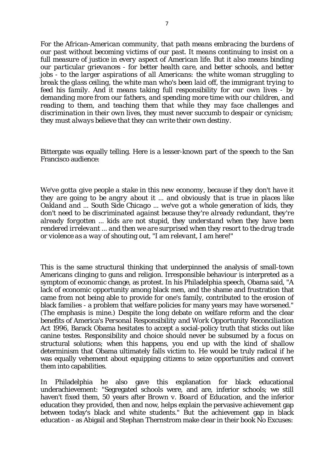*For the African-American community, that path means embracing the burdens of our past without becoming victims of our past. It means continuing to insist on a full measure of justice in every aspect of American life. But it also means binding our particular grievances - for better health care, and better schools, and better jobs - to the larger aspirations of all Americans: the white woman struggling to break the glass ceiling, the white man who's been laid off, the immigrant trying to feed his family. And it means taking full responsibility for our own lives - by demanding more from our fathers, and spending more time with our children, and reading to them, and teaching them that while they may face challenges and discrimination in their own lives, they must never succumb to despair or cynicism; they must always believe that they can write their own destiny.*

Bittergate was equally telling. Here is a lesser-known part of the speech to the San Francisco audience:

*We've gotta give people a stake in this new economy, because if they don't have it they are going to be angry about it ... and obviously that is true in places like Oakland and ... South Side Chicago ... we've got a whole generation of kids, they don't need to be discriminated against because they're already redundant, they're already forgotten ... kids are not stupid, they understand when they have been rendered irrelevant ... and then we are surprised when they resort to the drug trade or violence as a way of shouting out, "I am relevant, I am here!"*

This is the same structural thinking that underpinned the analysis of small-town Americans clinging to guns and religion. Irresponsible behaviour is interpreted as a symptom of economic change, as protest. In his Philadelphia speech, Obama said, "A lack of economic opportunity among black men, and the shame and frustration that came from not being able to provide for one's family, contributed to the erosion of black families - a problem that welfare policies for many years *may* have worsened." (The emphasis is mine.) Despite the long debate on welfare reform and the clear benefits of America's *Personal Responsibility and Work Opportunity Reconciliation Act 1996*, Barack Obama hesitates to accept a social-policy truth that sticks out like canine testes. Responsibility and choice should never be subsumed by a focus on structural solutions; when this happens, you end up with the kind of shallow determinism that Obama ultimately falls victim to. He would be truly radical if he was equally vehement about equipping citizens to seize opportunities and convert them into capabilities.

In Philadelphia he also gave this explanation for black educational underachievement: "Segregated schools were, and are, inferior schools; we still haven't fixed them, 50 years after *Brown v. Board of Education*, and the inferior education they provided, then and now, helps explain the pervasive achievement gap between today's black and white students." But the achievement gap in black education - as Abigail and Stephan Thernstrom make clear in their book *No Excuses:*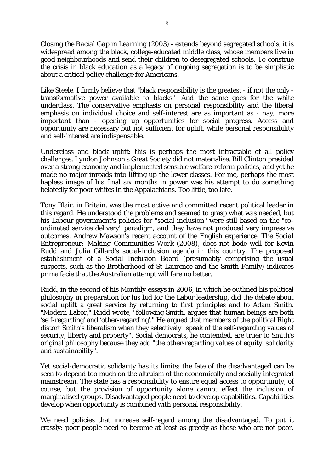*Closing the Racial Gap in Learning* (2003) *-* extends beyond segregated schools; it is widespread among the black, college-educated middle class, whose members live in good neighbourhoods and send their children to desegregated schools. To construe the crisis in black education as a legacy of ongoing segregation is to be simplistic about a critical policy challenge for Americans.

Like Steele, I firmly believe that "black responsibility is the greatest - if not the only transformative power available to blacks." And the same goes for the white underclass. The conservative emphasis on personal responsibility and the liberal emphasis on individual choice and self-interest are as important as - nay, more important than - opening up opportunities for social progress. Access and opportunity are necessary but not sufficient for uplift, while personal responsibility and self-interest are indispensable.

Underclass and black uplift: this is perhaps the most intractable of all policy challenges. Lyndon Johnson's Great Society did not materialise. Bill Clinton presided over a strong economy and implemented sensible welfare-reform policies, and yet he made no major inroads into lifting up the lower classes. For me, perhaps the most hapless image of his final six months in power was his attempt to do something belatedly for poor whites in the Appalachians. Too little, too late.

Tony Blair, in Britain, was the most active and committed recent political leader in this regard. He understood the problems and seemed to grasp what was needed, but his Labour government's policies for "social inclusion" were still based on the "coordinated service delivery" paradigm, and they have not produced very impressive outcomes. Andrew Mawson's recent account of the English experience, *The Social Entrepreneur: Making Communities Work* (2008), does not bode well for Kevin Rudd and Julia Gillard's social-inclusion agenda in this country. The proposed establishment of a Social Inclusion Board (presumably comprising the usual suspects, such as the Brotherhood of St Laurence and the Smith Family) indicates prima facie that the Australian attempt will fare no better.

Rudd, in the second of his *Monthly* essays in 2006, in which he outlined his political philosophy in preparation for his bid for the Labor leadership, did the debate about social uplift a great service by returning to first principles and to Adam Smith. "Modern Labor," Rudd wrote, "following Smith, argues that human beings are both 'self-regarding' and 'other-regarding'." He argued that members of the political Right distort Smith's liberalism when they selectively "speak of the self-regarding values of security, liberty and property". Social democrats, he contended, are truer to Smith's original philosophy because they add "the other-regarding values of equity, solidarity and sustainability".

Yet social-democratic solidarity has its limits: the fate of the disadvantaged can be seen to depend too much on the altruism of the economically and socially integrated mainstream. The state has a responsibility to ensure equal access to opportunity, of course, but the provision of opportunity alone cannot effect the inclusion of marginalised groups. Disadvantaged people need to develop capabilities. Capabilities develop when opportunity is combined with personal responsibility.

We need policies that increase self-regard among the disadvantaged. To put it crassly: poor people need to become at least as greedy as those who are not poor.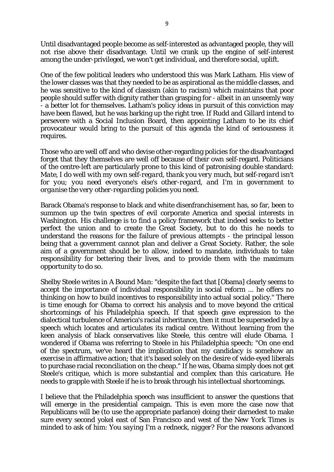Until disadvantaged people become as self-interested as advantaged people, they will not rise above their disadvantage. Until we crank up the engine of self-interest among the under-privileged, we won't get individual, and therefore social, uplift.

One of the few political leaders who understood this was Mark Latham. His view of the lower classes was that they needed to be as aspirational as the middle classes, and he was sensitive to the kind of classism (akin to racism) which maintains that poor people should suffer with dignity rather than grasping for - albeit in an unseemly way - a better lot for themselves. Latham's policy ideas in pursuit of this conviction may have been flawed, but he was barking up the right tree. If Rudd and Gillard intend to persevere with a Social Inclusion Board, then appointing Latham to be its chief provocateur would bring to the pursuit of this agenda the kind of seriousness it requires.

Those who are well off and who devise other-regarding policies for the disadvantaged forget that they themselves are well off because of their own self-regard. Politicians of the centre-left are particularly prone to this kind of patronising double standard: *Mate, I do well with my own self-regard, thank you very much, but self-regard isn't for you; you need everyone's else's other-regard, and I'm in government to organise the very other-regarding policies you need.*

Barack Obama's response to black and white disenfranchisement has, so far, been to summon up the twin spectres of evil corporate America and special interests in Washington. His challenge is to find a policy framework that indeed seeks to better perfect the union and to create the Great Society, but to do this he needs to understand the reasons for the failure of previous attempts - the principal lesson being that a government *cannot* plan and deliver a Great Society. Rather, the sole aim of a government should be to allow, indeed to mandate, individuals to take responsibility for bettering their lives, and to provide them with the maximum opportunity to do so.

Shelby Steele writes in *A Bound Man*: "despite the fact that [Obama] clearly seems to accept the importance of individual responsibility in social reform ... he offers no thinking on how to build incentives to responsibility into actual social policy." There is time enough for Obama to correct his analysis and to move beyond the critical shortcomings of his Philadelphia speech. If that speech gave expression to the dialectical turbulence of America's racial inheritance, then it must be superseded by a speech which locates and articulates its radical centre. Without learning from the keen analysis of black conservatives like Steele, this centre will elude Obama. I wondered if Obama was referring to Steele in his Philadelphia speech: "On one end of the spectrum, we've heard the implication that my candidacy is somehow an exercise in affirmative action; that it's based solely on the desire of wide-eyed liberals to purchase racial reconciliation on the cheap." If he was, Obama simply does not get Steele's critique, which is more substantial and complex than this caricature. He needs to grapple with Steele if he is to break through his intellectual shortcomings.

I believe that the Philadelphia speech was insufficient to answer the questions that will emerge in the presidential campaign. This is even more the case now that Republicans will be (to use the appropriate parlance) doing their darnedest to make sure every second yokel east of San Francisco and west of the *New York Times* is minded to ask of him: *You saying I'm a redneck, nigger?* For the reasons advanced